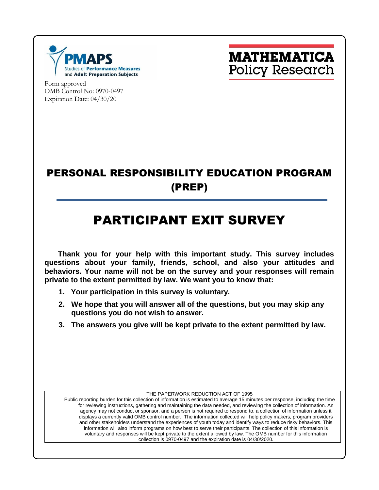

**MATHEMATICA Policy Research** 

Form approved OMB Control No: 0970-0497 Expiration Date: 04/30/20

### PERSONAL RESPONSIBILITY EDUCATION PROGRAM (PREP)

# PARTICIPANT EXIT SURVEY

**Thank you for your help with this important study. This survey includes questions about your family, friends, school, and also your attitudes and behaviors. Your name will not be on the survey and your responses will remain private to the extent permitted by law. We want you to know that:**

- **1. Your participation in this survey is voluntary.**
- **2. We hope that you will answer all of the questions, but you may skip any questions you do not wish to answer.**
- **3. The answers you give will be kept private to the extent permitted by law.**

THE PAPERWORK REDUCTION ACT OF 1995

Public reporting burden for this collection of information is estimated to average 15 minutes per response, including the time for reviewing instructions, gathering and maintaining the data needed, and reviewing the collection of information. An agency may not conduct or sponsor, and a person is not required to respond to, a collection of information unless it displays a currently valid OMB control number. The information collected will help policy makers, program providers and other stakeholders understand the experiences of youth today and identify ways to reduce risky behaviors. This information will also inform programs on how best to serve their participants. The collection of this information is voluntary and responses will be kept private to the extent allowed by law. The OMB number for this information collection is 0970-0497 and the expiration date is 04/30/2020.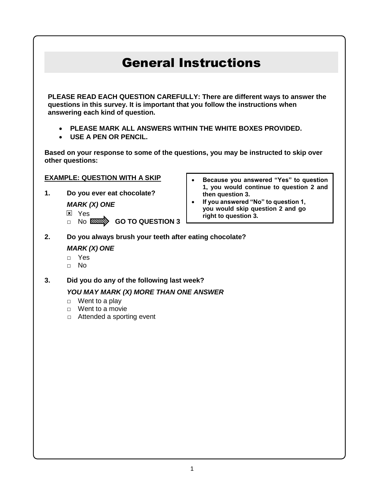## General Instructions

**PLEASE READ EACH QUESTION CAREFULLY: There are different ways to answer the questions in this survey. It is important that you follow the instructions when answering each kind of question.**

- **PLEASE MARK ALL ANSWERS WITHIN THE WHITE BOXES PROVIDED.**
- **USE A PEN OR PENCIL.**

**Based on your response to some of the questions, you may be instructed to skip over other questions:** 

#### **EXAMPLE: QUESTION WITH A SKIP**

**1. Do you ever eat chocolate?**

*MARK (X) ONE*

**x** Yes

- □ No **MEETION 3**
- **Because you answered "Yes" to question 1, you would continue to question 2 and then question 3.**
- **If you answered "No" to question 1, you would skip question 2 and go right to question 3.**
- **2. Do you always brush your teeth after eating chocolate?**

### *MARK (X) ONE*

- □ Yes
- □ No
- **3. Did you do any of the following last week?**

#### *YOU MAY MARK (X) MORE THAN ONE ANSWER*

- $\Box$  Went to a play
- □ Went to a movie
- □ Attended a sporting event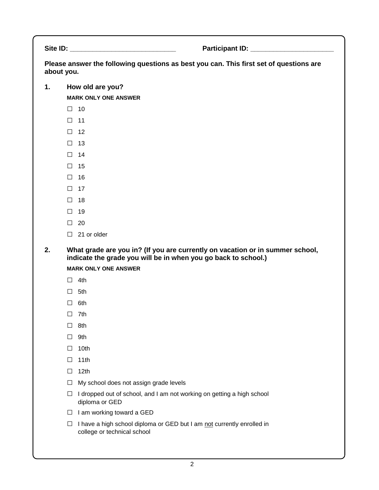Site ID: **Example 20 and Site ID: Participant ID: Participant ID: Participant ID: Participant ID: Participant ID: Participant ID: Participant ID: Participant ID: Participant ID: Participant ID: Partic** 

**Please answer the following questions as best you can. This first set of questions are about you.**

**1. How old are you?**

**MARK ONLY ONE ANSWER**

- □ <sup>10</sup>
- □ <sup>11</sup>
- □ <sup>12</sup>
- □ <sup>13</sup>
- □ <sup>14</sup>
- □ <sup>15</sup>
- □ <sup>16</sup>
- □ <sup>17</sup>
- □ <sup>18</sup>
- □ <sup>19</sup>
- $\Box$  20
- □ 21 or older

**2. What grade are you in? (If you are currently on vacation or in summer school, indicate the grade you will be in when you go back to school.)**

**MARK ONLY ONE ANSWER**

- □ 4th
- □ 5th
- □ 6th
- □ 7th
- □ 8th
- □ 9th
- $\Box$  10th
- □ 11th
- □ 12th
- $\Box$  My school does not assign grade levels
- $\Box$  I dropped out of school, and I am not working on getting a high school diploma or GED
- □ I am working toward a GED
- □ I have a high school diploma or GED but I am not currently enrolled in college or technical school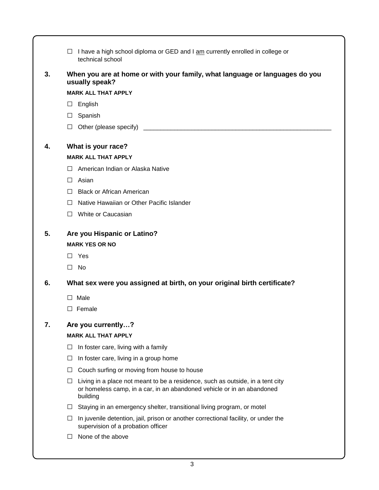|    | I have a high school diploma or GED and I am currently enrolled in college or<br>technical school                                                                         |  |  |  |  |  |  |
|----|---------------------------------------------------------------------------------------------------------------------------------------------------------------------------|--|--|--|--|--|--|
| 3. | When you are at home or with your family, what language or languages do you<br>usually speak?                                                                             |  |  |  |  |  |  |
|    | <b>MARK ALL THAT APPLY</b>                                                                                                                                                |  |  |  |  |  |  |
|    | English<br>⊔                                                                                                                                                              |  |  |  |  |  |  |
|    | Spanish<br>П                                                                                                                                                              |  |  |  |  |  |  |
|    | П                                                                                                                                                                         |  |  |  |  |  |  |
| 4. | What is your race?                                                                                                                                                        |  |  |  |  |  |  |
|    | <b>MARK ALL THAT APPLY</b>                                                                                                                                                |  |  |  |  |  |  |
|    | American Indian or Alaska Native                                                                                                                                          |  |  |  |  |  |  |
|    | Asian<br>$\perp$                                                                                                                                                          |  |  |  |  |  |  |
|    | <b>Black or African American</b><br>$\perp$                                                                                                                               |  |  |  |  |  |  |
|    | Native Hawaiian or Other Pacific Islander<br>$\perp$                                                                                                                      |  |  |  |  |  |  |
|    | White or Caucasian<br>$\perp$                                                                                                                                             |  |  |  |  |  |  |
| 5. | Are you Hispanic or Latino?<br><b>MARK YES OR NO</b><br>Yes<br>$\perp$                                                                                                    |  |  |  |  |  |  |
|    | No<br>$\perp$                                                                                                                                                             |  |  |  |  |  |  |
|    |                                                                                                                                                                           |  |  |  |  |  |  |
| 6. | What sex were you assigned at birth, on your original birth certificate?                                                                                                  |  |  |  |  |  |  |
|    | Male<br>$\perp$                                                                                                                                                           |  |  |  |  |  |  |
|    | Female                                                                                                                                                                    |  |  |  |  |  |  |
| 7. | Are you currently?                                                                                                                                                        |  |  |  |  |  |  |
|    | <b>MARK ALL THAT APPLY</b>                                                                                                                                                |  |  |  |  |  |  |
|    | In foster care, living with a family<br>$\Box$                                                                                                                            |  |  |  |  |  |  |
|    | In foster care, living in a group home<br>$\Box$                                                                                                                          |  |  |  |  |  |  |
|    | Couch surfing or moving from house to house<br>$\Box$                                                                                                                     |  |  |  |  |  |  |
|    | Living in a place not meant to be a residence, such as outside, in a tent city<br>⊔<br>or homeless camp, in a car, in an abandoned vehicle or in an abandoned<br>building |  |  |  |  |  |  |
|    | Staying in an emergency shelter, transitional living program, or motel<br>$\Box$                                                                                          |  |  |  |  |  |  |
|    | In juvenile detention, jail, prison or another correctional facility, or under the<br>⊔<br>supervision of a probation officer                                             |  |  |  |  |  |  |
|    | None of the above                                                                                                                                                         |  |  |  |  |  |  |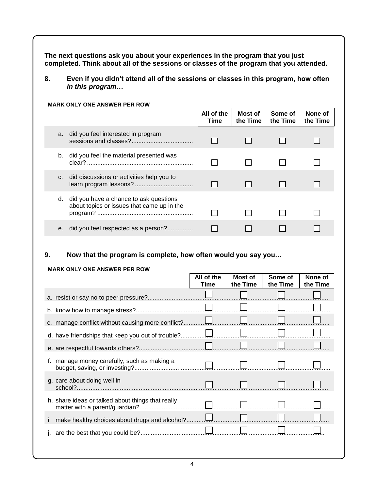**The next questions ask you about your experiences in the program that you just completed. Think about all of the sessions or classes of the program that you attended.**

**8. Even if you didn't attend all of the sessions or classes in this program, how often**  *in this program***…**

#### **MARK ONLY ONE ANSWER PER ROW All of the Most of Some of None of the Time the Time the Time Time** a. did you feel interested in program sessions and classes?.................................... П. П П П b. did you feel the material presented was  $\Box$  $\Box$  $\Box$ П clear? .............................................................. c. did discussions or activities help you to learn program lessons? ..................................  $\Box$  $\Box$  $\Box$ П d. did you have a chance to ask questions about topics or issues that came up in the program? ........................................................  $\Box$  $\Box$ П П e. did you feel respected as a person?...............  $\Box$ П. П  $\Box$

#### **9. Now that the program is complete, how often would you say you…**

#### **MARK ONLY ONE ANSWER PER ROW**

|                                                   | All of the<br>Time | Most of<br>the Time | Some of<br>the Time | None of<br>the Time |
|---------------------------------------------------|--------------------|---------------------|---------------------|---------------------|
|                                                   |                    |                     |                     |                     |
|                                                   |                    |                     |                     |                     |
|                                                   |                    |                     |                     |                     |
|                                                   |                    |                     |                     |                     |
|                                                   |                    |                     |                     |                     |
| manage money carefully, such as making a<br>f.    |                    |                     |                     |                     |
| g. care about doing well in                       |                    |                     |                     |                     |
| h. share ideas or talked about things that really |                    |                     |                     |                     |
|                                                   |                    |                     |                     |                     |
|                                                   |                    |                     |                     |                     |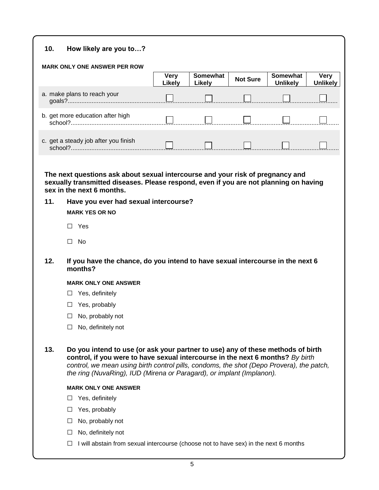#### **10. How likely are you to…?**

| 10.                                         | How likely are you to?                                                                                                                                                                                                                                                                                                                 |                              |                    |                 |                                    |                         |  |
|---------------------------------------------|----------------------------------------------------------------------------------------------------------------------------------------------------------------------------------------------------------------------------------------------------------------------------------------------------------------------------------------|------------------------------|--------------------|-----------------|------------------------------------|-------------------------|--|
|                                             | <b>MARK ONLY ONE ANSWER PER ROW</b>                                                                                                                                                                                                                                                                                                    |                              |                    |                 |                                    |                         |  |
|                                             |                                                                                                                                                                                                                                                                                                                                        | <b>Very</b><br><b>Likely</b> | Somewhat<br>Likely | <b>Not Sure</b> | <b>Somewhat</b><br><b>Unlikely</b> | Very<br><b>Unlikely</b> |  |
| a. make plans to reach your                 |                                                                                                                                                                                                                                                                                                                                        |                              |                    |                 |                                    |                         |  |
| b. get more education after high<br>school? |                                                                                                                                                                                                                                                                                                                                        |                              |                    |                 |                                    |                         |  |
| c. get a steady job after you finish        |                                                                                                                                                                                                                                                                                                                                        |                              |                    |                 |                                    |                         |  |
|                                             | The next questions ask about sexual intercourse and your risk of pregnancy and<br>sexually transmitted diseases. Please respond, even if you are not planning on having<br>sex in the next 6 months.                                                                                                                                   |                              |                    |                 |                                    |                         |  |
| 11.                                         | Have you ever had sexual intercourse?                                                                                                                                                                                                                                                                                                  |                              |                    |                 |                                    |                         |  |
|                                             | <b>MARK YES OR NO</b>                                                                                                                                                                                                                                                                                                                  |                              |                    |                 |                                    |                         |  |
|                                             | Yes<br>⊔                                                                                                                                                                                                                                                                                                                               |                              |                    |                 |                                    |                         |  |
|                                             | No<br>П                                                                                                                                                                                                                                                                                                                                |                              |                    |                 |                                    |                         |  |
| 12.                                         | If you have the chance, do you intend to have sexual intercourse in the next 6<br>months?                                                                                                                                                                                                                                              |                              |                    |                 |                                    |                         |  |
|                                             | <b>MARK ONLY ONE ANSWER</b>                                                                                                                                                                                                                                                                                                            |                              |                    |                 |                                    |                         |  |
|                                             | Yes, definitely<br>ш                                                                                                                                                                                                                                                                                                                   |                              |                    |                 |                                    |                         |  |
|                                             | Yes, probably<br>ப                                                                                                                                                                                                                                                                                                                     |                              |                    |                 |                                    |                         |  |
|                                             | No, probably not<br>⊔                                                                                                                                                                                                                                                                                                                  |                              |                    |                 |                                    |                         |  |
|                                             | No, definitely not<br>$\Box$                                                                                                                                                                                                                                                                                                           |                              |                    |                 |                                    |                         |  |
| 13.                                         | Do you intend to use (or ask your partner to use) any of these methods of birth<br>control, if you were to have sexual intercourse in the next 6 months? By birth<br>control, we mean using birth control pills, condoms, the shot (Depo Provera), the patch,<br>the ring (NuvaRing), IUD (Mirena or Paragard), or implant (Implanon). |                              |                    |                 |                                    |                         |  |
|                                             | <b>MARK ONLY ONE ANSWER</b>                                                                                                                                                                                                                                                                                                            |                              |                    |                 |                                    |                         |  |
|                                             | Yes, definitely<br>⊔                                                                                                                                                                                                                                                                                                                   |                              |                    |                 |                                    |                         |  |
|                                             | Yes, probably<br>⊔                                                                                                                                                                                                                                                                                                                     |                              |                    |                 |                                    |                         |  |
|                                             | No, probably not<br>ப                                                                                                                                                                                                                                                                                                                  |                              |                    |                 |                                    |                         |  |
|                                             | No, definitely not<br>П                                                                                                                                                                                                                                                                                                                |                              |                    |                 |                                    |                         |  |